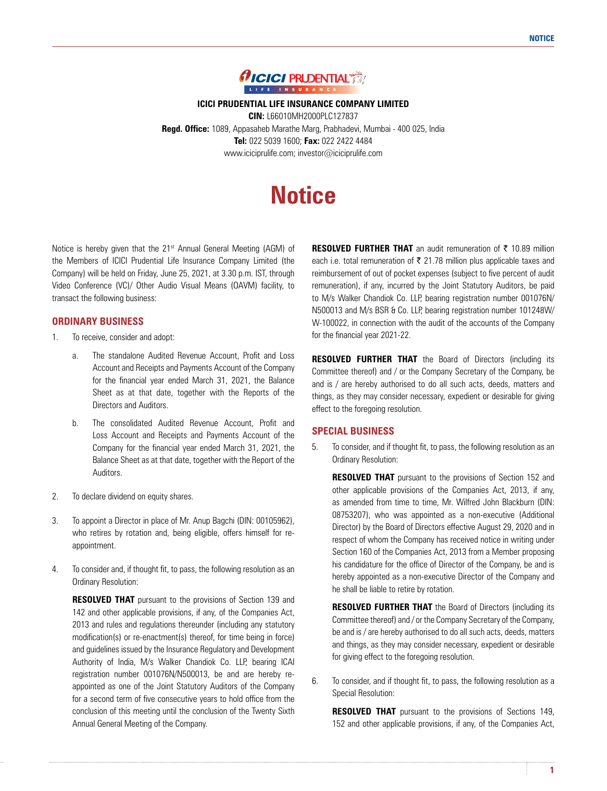

**ICICI PRUDENTIAL LIFE INSURANCE COMPANY LIMITED CIN:** L66010MH2000PLC127837 **Regd. Office:** 1089, Appasaheb Marathe Marg, Prabhadevi, Mumbai - 400 025, India **Tel:** 022 5039 1600; **Fax:** 022 2422 4484

www.iciciprulife.com; investor@iciciprulife.com

# **Notice**

Notice is hereby given that the 21<sup>st</sup> Annual General Meeting (AGM) of the Members of ICICI Prudential Life Insurance Company Limited (the Company) will be held on Friday, June 25, 2021, at 3.30 p.m. IST, through Video Conference (VC)/ Other Audio Visual Means (OAVM) facility, to transact the following business:

# **ORDINARY BUSINESS**

- 1. To receive, consider and adopt:
	- a. The standalone Audited Revenue Account, Profit and Loss Account and Receipts and Payments Account of the Company for the financial year ended March 31, 2021, the Balance Sheet as at that date, together with the Reports of the Directors and Auditors.
	- b. The consolidated Audited Revenue Account, Profit and Loss Account and Receipts and Payments Account of the Company for the financial year ended March 31, 2021, the Balance Sheet as at that date, together with the Report of the Auditors.
- 2. To declare dividend on equity shares.
- 3. To appoint a Director in place of Mr. Anup Bagchi (DIN: 00105962), who retires by rotation and, being eligible, offers himself for reappointment.
- 4. To consider and, if thought fit, to pass, the following resolution as an Ordinary Resolution:

 **RESOLVED THAT** pursuant to the provisions of Section 139 and 142 and other applicable provisions, if any, of the Companies Act, 2013 and rules and regulations thereunder (including any statutory modification(s) or re-enactment(s) thereof, for time being in force) and guidelines issued by the Insurance Regulatory and Development Authority of India, M/s Walker Chandiok Co. LLP, bearing ICAI registration number 001076N/N500013, be and are hereby reappointed as one of the Joint Statutory Auditors of the Company for a second term of five consecutive years to hold office from the conclusion of this meeting until the conclusion of the Twenty Sixth Annual General Meeting of the Company.

**RESOLVED FURTHER THAT** an audit remuneration of  $\bar{\tau}$  10.89 million each i.e. total remuneration of  $\bar{\tau}$  21.78 million plus applicable taxes and reimbursement of out of pocket expenses (subject to five percent of audit remuneration), if any, incurred by the Joint Statutory Auditors, be paid to M/s Walker Chandiok Co. LLP, bearing registration number 001076N/ N500013 and M/s BSR & Co. LLP, bearing registration number 101248W/ W-100022, in connection with the audit of the accounts of the Company for the financial year 2021-22.

**RESOLVED FURTHER THAT** the Board of Directors (including its Committee thereof) and / or the Company Secretary of the Company, be and is / are hereby authorised to do all such acts, deeds, matters and things, as they may consider necessary, expedient or desirable for giving effect to the foregoing resolution.

# **SPECIAL BUSINESS**

5. To consider, and if thought fit, to pass, the following resolution as an Ordinary Resolution:

**RESOLVED THAT** pursuant to the provisions of Section 152 and other applicable provisions of the Companies Act, 2013, if any, as amended from time to time, Mr. Wilfred John Blackburn (DIN: 08753207), who was appointed as a non-executive (Additional Director) by the Board of Directors effective August 29, 2020 and in respect of whom the Company has received notice in writing under Section 160 of the Companies Act, 2013 from a Member proposing his candidature for the office of Director of the Company, be and is hereby appointed as a non-executive Director of the Company and he shall be liable to retire by rotation.

**RESOLVED FURTHER THAT** the Board of Directors (including its Committee thereof) and / or the Company Secretary of the Company, be and is / are hereby authorised to do all such acts, deeds, matters and things, as they may consider necessary, expedient or desirable for giving effect to the foregoing resolution.

6. To consider, and if thought fit, to pass, the following resolution as a Special Resolution:

 **RESOLVED THAT** pursuant to the provisions of Sections 149, 152 and other applicable provisions, if any, of the Companies Act,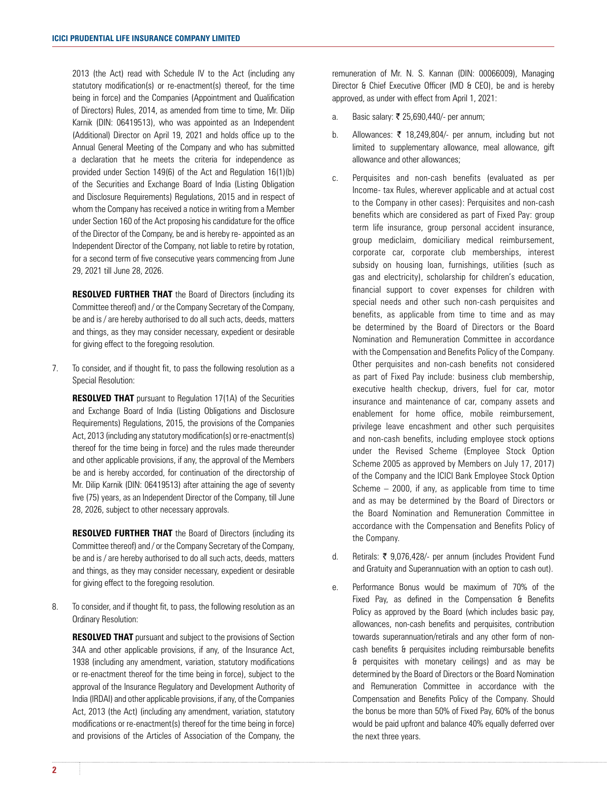2013 (the Act) read with Schedule IV to the Act (including any statutory modification(s) or re-enactment(s) thereof, for the time being in force) and the Companies (Appointment and Qualification of Directors) Rules, 2014, as amended from time to time, Mr. Dilip Karnik (DIN: 06419513), who was appointed as an Independent (Additional) Director on April 19, 2021 and holds office up to the Annual General Meeting of the Company and who has submitted a declaration that he meets the criteria for independence as provided under Section 149(6) of the Act and Regulation 16(1)(b) of the Securities and Exchange Board of India (Listing Obligation and Disclosure Requirements) Regulations, 2015 and in respect of whom the Company has received a notice in writing from a Member under Section 160 of the Act proposing his candidature for the office of the Director of the Company, be and is hereby re- appointed as an Independent Director of the Company, not liable to retire by rotation, for a second term of five consecutive years commencing from June 29, 2021 till June 28, 2026.

**RESOLVED FURTHER THAT** the Board of Directors (including its Committee thereof) and / or the Company Secretary of the Company, be and is / are hereby authorised to do all such acts, deeds, matters and things, as they may consider necessary, expedient or desirable for giving effect to the foregoing resolution.

7. To consider, and if thought fit, to pass the following resolution as a Special Resolution:

**RESOLVED THAT** pursuant to Regulation 17(1A) of the Securities and Exchange Board of India (Listing Obligations and Disclosure Requirements) Regulations, 2015, the provisions of the Companies Act, 2013 (including any statutory modification(s) or re-enactment(s) thereof for the time being in force) and the rules made thereunder and other applicable provisions, if any, the approval of the Members be and is hereby accorded, for continuation of the directorship of Mr. Dilip Karnik (DIN: 06419513) after attaining the age of seventy five (75) years, as an Independent Director of the Company, till June 28, 2026, subject to other necessary approvals.

**RESOLVED FURTHER THAT** the Board of Directors (including its Committee thereof) and / or the Company Secretary of the Company, be and is / are hereby authorised to do all such acts, deeds, matters and things, as they may consider necessary, expedient or desirable for giving effect to the foregoing resolution.

8. To consider, and if thought fit, to pass, the following resolution as an Ordinary Resolution:

 **RESOLVED THAT** pursuant and subject to the provisions of Section 34A and other applicable provisions, if any, of the Insurance Act, 1938 (including any amendment, variation, statutory modifications or re-enactment thereof for the time being in force), subject to the approval of the Insurance Regulatory and Development Authority of India (IRDAI) and other applicable provisions, if any, of the Companies Act, 2013 (the Act) (including any amendment, variation, statutory modifications or re-enactment(s) thereof for the time being in force) and provisions of the Articles of Association of the Company, the

remuneration of Mr. N. S. Kannan (DIN: 00066009), Managing Director & Chief Executive Officer (MD & CEO), be and is hereby approved, as under with effect from April 1, 2021:

- a. Basic salary:  $\bar{\tau}$  25,690,440/- per annum;
- b. Allowances:  $\bar{\tau}$  18,249,804/- per annum, including but not limited to supplementary allowance, meal allowance, gift allowance and other allowances;
- c. Perquisites and non-cash benefits (evaluated as per Income- tax Rules, wherever applicable and at actual cost to the Company in other cases): Perquisites and non-cash benefits which are considered as part of Fixed Pay: group term life insurance, group personal accident insurance, group mediclaim, domiciliary medical reimbursement, corporate car, corporate club memberships, interest subsidy on housing loan, furnishings, utilities (such as gas and electricity), scholarship for children's education, financial support to cover expenses for children with special needs and other such non-cash perquisites and benefits, as applicable from time to time and as may be determined by the Board of Directors or the Board Nomination and Remuneration Committee in accordance with the Compensation and Benefits Policy of the Company. Other perquisites and non-cash benefits not considered as part of Fixed Pay include: business club membership, executive health checkup, drivers, fuel for car, motor insurance and maintenance of car, company assets and enablement for home office, mobile reimbursement, privilege leave encashment and other such perquisites and non-cash benefits, including employee stock options under the Revised Scheme (Employee Stock Option Scheme 2005 as approved by Members on July 17, 2017) of the Company and the ICICI Bank Employee Stock Option Scheme – 2000, if any, as applicable from time to time and as may be determined by the Board of Directors or the Board Nomination and Remuneration Committee in accordance with the Compensation and Benefits Policy of the Company.
- d. Retirals: ` 9,076,428/- per annum (includes Provident Fund and Gratuity and Superannuation with an option to cash out).
- e. Performance Bonus would be maximum of 70% of the Fixed Pay, as defined in the Compensation & Benefits Policy as approved by the Board (which includes basic pay, allowances, non-cash benefits and perquisites, contribution towards superannuation/retirals and any other form of noncash benefits & perquisites including reimbursable benefits & perquisites with monetary ceilings) and as may be determined by the Board of Directors or the Board Nomination and Remuneration Committee in accordance with the Compensation and Benefits Policy of the Company. Should the bonus be more than 50% of Fixed Pay, 60% of the bonus would be paid upfront and balance 40% equally deferred over the next three years.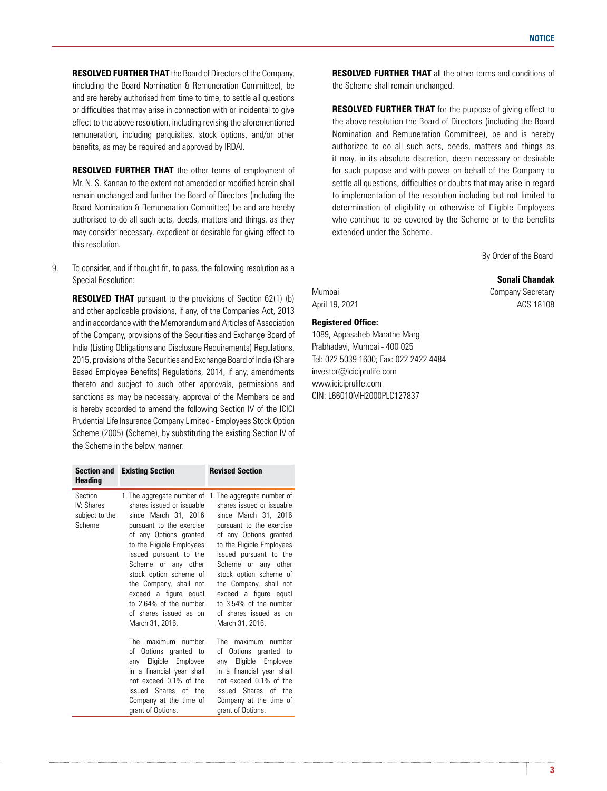**RESOLVED FURTHER THAT** the Board of Directors of the Company, (including the Board Nomination & Remuneration Committee), be and are hereby authorised from time to time, to settle all questions or difficulties that may arise in connection with or incidental to give effect to the above resolution, including revising the aforementioned remuneration, including perquisites, stock options, and/or other benefits, as may be required and approved by IRDAI.

 **RESOLVED FURTHER THAT** the other terms of employment of Mr. N. S. Kannan to the extent not amended or modified herein shall remain unchanged and further the Board of Directors (including the Board Nomination & Remuneration Committee) be and are hereby authorised to do all such acts, deeds, matters and things, as they may consider necessary, expedient or desirable for giving effect to this resolution.

9. To consider, and if thought fit, to pass, the following resolution as a Special Resolution:

**RESOLVED THAT** pursuant to the provisions of Section 62(1) (b) and other applicable provisions, if any, of the Companies Act, 2013 and in accordance with the Memorandum and Articles of Association of the Company, provisions of the Securities and Exchange Board of India (Listing Obligations and Disclosure Requirements) Regulations, 2015, provisions of the Securities and Exchange Board of India (Share Based Employee Benefits) Regulations, 2014, if any, amendments thereto and subject to such other approvals, permissions and sanctions as may be necessary, approval of the Members be and is hereby accorded to amend the following Section IV of the ICICI Prudential Life Insurance Company Limited - Employees Stock Option Scheme (2005) (Scheme), by substituting the existing Section IV of the Scheme in the below manner:

| <b>Section and</b><br><b>Heading</b>              | <b>Existing Section</b>                                                                                                                                                                                                                                                                                                                   | <b>Revised Section</b>                                                                                                                                                                                                                                                                                                                                                                             |
|---------------------------------------------------|-------------------------------------------------------------------------------------------------------------------------------------------------------------------------------------------------------------------------------------------------------------------------------------------------------------------------------------------|----------------------------------------------------------------------------------------------------------------------------------------------------------------------------------------------------------------------------------------------------------------------------------------------------------------------------------------------------------------------------------------------------|
| Section<br>IV: Shares<br>subject to the<br>Scheme | shares issued or issuable<br>since March 31, 2016<br>pursuant to the exercise<br>of any Options granted<br>to the Eligible Employees<br>issued pursuant to the<br>Scheme or any other<br>stock option scheme of<br>the Company, shall not<br>exceed a figure equal<br>to 2.64% of the number<br>of shares issued as on<br>March 31, 2016. | 1. The aggregate number of 1. The aggregate number of<br>shares issued or issuable<br>since March 31, 2016<br>pursuant to the exercise<br>of any Options granted<br>to the Eligible Employees<br>issued pursuant to the<br>Scheme or any other<br>stock option scheme of<br>the Company, shall not<br>exceed a figure equal<br>to 3.54% of the number<br>of shares issued as on<br>March 31, 2016. |
|                                                   | The<br>maximum<br>number<br>of Options granted to<br>any Eligible<br>Employee<br>in a financial year shall<br>not exceed 0.1% of the<br>issued Shares of the<br>Company at the time of<br>grant of Options.                                                                                                                               | The<br>maximum<br>number<br>of Options granted to<br>Eligible<br>Employee<br>anv<br>in a financial year shall<br>not exceed 0.1% of the<br>issued Shares of the<br>Company at the time of<br>grant of Options.                                                                                                                                                                                     |

**RESOLVED FURTHER THAT** all the other terms and conditions of the Scheme shall remain unchanged.

**RESOLVED FURTHER THAT** for the purpose of giving effect to the above resolution the Board of Directors (including the Board Nomination and Remuneration Committee), be and is hereby authorized to do all such acts, deeds, matters and things as it may, in its absolute discretion, deem necessary or desirable for such purpose and with power on behalf of the Company to settle all questions, difficulties or doubts that may arise in regard to implementation of the resolution including but not limited to determination of eligibility or otherwise of Eligible Employees who continue to be covered by the Scheme or to the benefits extended under the Scheme.

By Order of the Board

#### **Sonali Chandak**

Mumbai Company Secretary April 19, 2021 **ADD** 2021

# **Registered Office:**

1089, Appasaheb Marathe Marg Prabhadevi, Mumbai - 400 025 Tel: 022 5039 1600; Fax: 022 2422 4484 investor@iciciprulife.com www.iciciprulife.com CIN: L66010MH2000PLC127837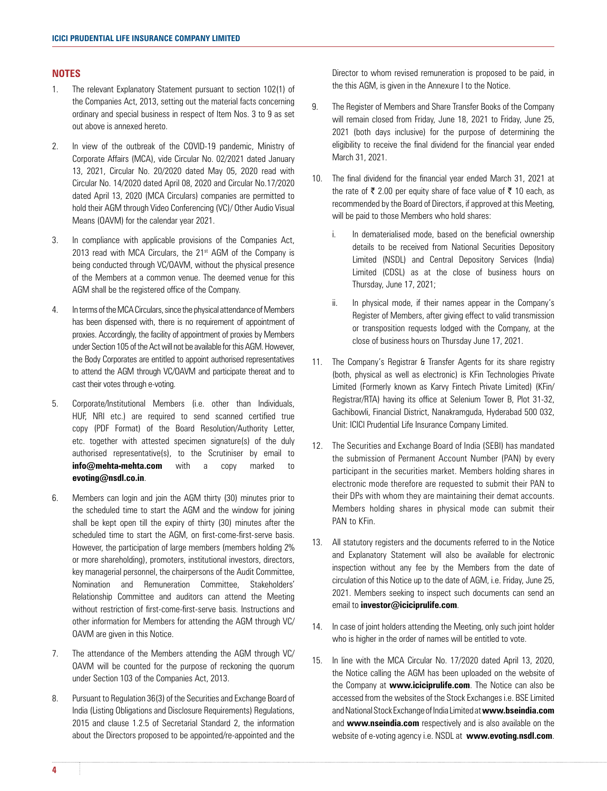## **NOTES**

- 1. The relevant Explanatory Statement pursuant to section 102(1) of the Companies Act, 2013, setting out the material facts concerning ordinary and special business in respect of Item Nos. 3 to 9 as set out above is annexed hereto.
- 2. In view of the outbreak of the COVID-19 pandemic, Ministry of Corporate Affairs (MCA), vide Circular No. 02/2021 dated January 13, 2021, Circular No. 20/2020 dated May 05, 2020 read with Circular No. 14/2020 dated April 08, 2020 and Circular No.17/2020 dated April 13, 2020 (MCA Circulars) companies are permitted to hold their AGM through Video Conferencing (VC)/ Other Audio Visual Means (OAVM) for the calendar year 2021.
- 3. In compliance with applicable provisions of the Companies Act, 2013 read with MCA Circulars, the  $21<sup>st</sup>$  AGM of the Company is being conducted through VC/OAVM, without the physical presence of the Members at a common venue. The deemed venue for this AGM shall be the registered office of the Company.
- 4. In terms of the MCA Circulars, since the physical attendance of Members has been dispensed with, there is no requirement of appointment of proxies. Accordingly, the facility of appointment of proxies by Members under Section 105 of the Act will not be available for this AGM. However, the Body Corporates are entitled to appoint authorised representatives to attend the AGM through VC/OAVM and participate thereat and to cast their votes through e-voting.
- 5. Corporate/Institutional Members (i.e. other than Individuals, HUF, NRI etc.) are required to send scanned certified true copy (PDF Format) of the Board Resolution/Authority Letter, etc. together with attested specimen signature(s) of the duly authorised representative(s), to the Scrutiniser by email to **info@mehta-mehta.com** with a copy marked to **evoting@nsdl.co.in**.
- 6. Members can login and join the AGM thirty (30) minutes prior to the scheduled time to start the AGM and the window for joining shall be kept open till the expiry of thirty (30) minutes after the scheduled time to start the AGM, on first-come-first-serve basis. However, the participation of large members (members holding 2% or more shareholding), promoters, institutional investors, directors, key managerial personnel, the chairpersons of the Audit Committee, Nomination and Remuneration Committee, Stakeholders' Relationship Committee and auditors can attend the Meeting without restriction of first-come-first-serve basis. Instructions and other information for Members for attending the AGM through VC/ OAVM are given in this Notice.
- 7. The attendance of the Members attending the AGM through VC/ OAVM will be counted for the purpose of reckoning the quorum under Section 103 of the Companies Act, 2013.
- 8. Pursuant to Regulation 36(3) of the Securities and Exchange Board of India (Listing Obligations and Disclosure Requirements) Regulations, 2015 and clause 1.2.5 of Secretarial Standard 2, the information about the Directors proposed to be appointed/re-appointed and the

Director to whom revised remuneration is proposed to be paid, in the this AGM, is given in the Annexure I to the Notice.

- 9. The Register of Members and Share Transfer Books of the Company will remain closed from Friday, June 18, 2021 to Friday, June 25, 2021 (both days inclusive) for the purpose of determining the eligibility to receive the final dividend for the financial year ended March 31, 2021.
- 10. The final dividend for the financial year ended March 31, 2021 at the rate of  $\bar{\tau}$  2.00 per equity share of face value of  $\bar{\tau}$  10 each, as recommended by the Board of Directors, if approved at this Meeting, will be paid to those Members who hold shares:
	- i. In dematerialised mode, based on the beneficial ownership details to be received from National Securities Depository Limited (NSDL) and Central Depository Services (India) Limited (CDSL) as at the close of business hours on Thursday, June 17, 2021;
	- ii. In physical mode, if their names appear in the Company's Register of Members, after giving effect to valid transmission or transposition requests lodged with the Company, at the close of business hours on Thursday June 17, 2021.
- 11. The Company's Registrar & Transfer Agents for its share registry (both, physical as well as electronic) is KFin Technologies Private Limited (Formerly known as Karvy Fintech Private Limited) (KFin/ Registrar/RTA) having its office at Selenium Tower B, Plot 31-32, Gachibowli, Financial District, Nanakramguda, Hyderabad 500 032, Unit: ICICI Prudential Life Insurance Company Limited.
- 12. The Securities and Exchange Board of India (SEBI) has mandated the submission of Permanent Account Number (PAN) by every participant in the securities market. Members holding shares in electronic mode therefore are requested to submit their PAN to their DPs with whom they are maintaining their demat accounts. Members holding shares in physical mode can submit their PAN to KFin.
- 13. All statutory registers and the documents referred to in the Notice and Explanatory Statement will also be available for electronic inspection without any fee by the Members from the date of circulation of this Notice up to the date of AGM, i.e. Friday, June 25, 2021. Members seeking to inspect such documents can send an email to **investor@iciciprulife.com**.
- 14. In case of joint holders attending the Meeting, only such joint holder who is higher in the order of names will be entitled to vote.
- 15. In line with the MCA Circular No. 17/2020 dated April 13, 2020, the Notice calling the AGM has been uploaded on the website of the Company at **www.iciciprulife.com**. The Notice can also be accessed from the websites of the Stock Exchanges i.e. BSE Limited and National Stock Exchange of India Limited at **www.bseindia.com** and **www.nseindia.com** respectively and is also available on the website of e-voting agency i.e. NSDL at **www.evoting.nsdl.com**.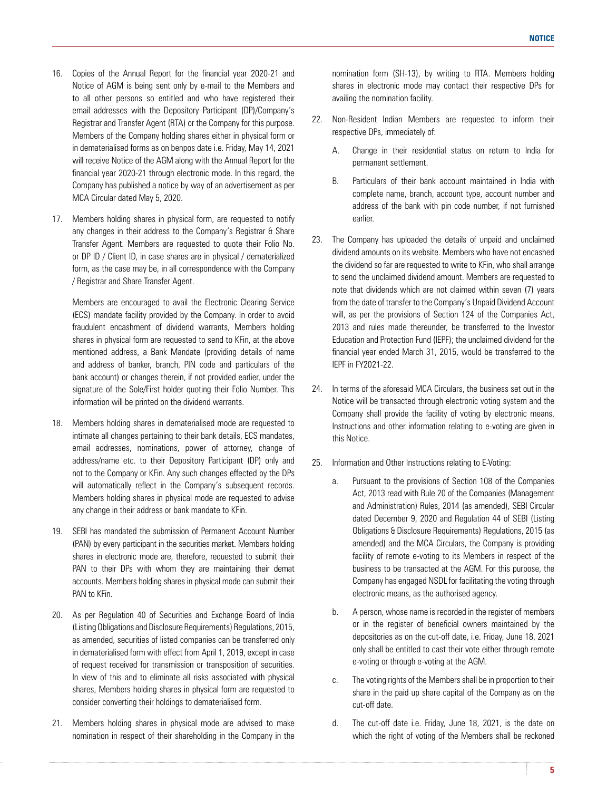- 16. Copies of the Annual Report for the financial year 2020-21 and Notice of AGM is being sent only by e-mail to the Members and to all other persons so entitled and who have registered their email addresses with the Depository Participant (DP)/Company's Registrar and Transfer Agent (RTA) or the Company for this purpose. Members of the Company holding shares either in physical form or in dematerialised forms as on benpos date i.e. Friday, May 14, 2021 will receive Notice of the AGM along with the Annual Report for the financial year 2020-21 through electronic mode. In this regard, the Company has published a notice by way of an advertisement as per MCA Circular dated May 5, 2020.
- 17. Members holding shares in physical form, are requested to notify any changes in their address to the Company's Registrar & Share Transfer Agent. Members are requested to quote their Folio No. or DP ID / Client ID, in case shares are in physical / dematerialized form, as the case may be, in all correspondence with the Company / Registrar and Share Transfer Agent.

 Members are encouraged to avail the Electronic Clearing Service (ECS) mandate facility provided by the Company. In order to avoid fraudulent encashment of dividend warrants, Members holding shares in physical form are requested to send to KFin, at the above mentioned address, a Bank Mandate (providing details of name and address of banker, branch, PIN code and particulars of the bank account) or changes therein, if not provided earlier, under the signature of the Sole/First holder quoting their Folio Number. This information will be printed on the dividend warrants.

- 18. Members holding shares in dematerialised mode are requested to intimate all changes pertaining to their bank details, ECS mandates, email addresses, nominations, power of attorney, change of address/name etc. to their Depository Participant (DP) only and not to the Company or KFin. Any such changes effected by the DPs will automatically reflect in the Company's subsequent records. Members holding shares in physical mode are requested to advise any change in their address or bank mandate to KFin.
- 19. SEBI has mandated the submission of Permanent Account Number (PAN) by every participant in the securities market. Members holding shares in electronic mode are, therefore, requested to submit their PAN to their DPs with whom they are maintaining their demat accounts. Members holding shares in physical mode can submit their PAN to KFin.
- 20. As per Regulation 40 of Securities and Exchange Board of India (Listing Obligations and Disclosure Requirements) Regulations, 2015, as amended, securities of listed companies can be transferred only in dematerialised form with effect from April 1, 2019, except in case of request received for transmission or transposition of securities. In view of this and to eliminate all risks associated with physical shares, Members holding shares in physical form are requested to consider converting their holdings to dematerialised form.
- 21. Members holding shares in physical mode are advised to make nomination in respect of their shareholding in the Company in the

nomination form (SH-13), by writing to RTA. Members holding shares in electronic mode may contact their respective DPs for availing the nomination facility.

- 22. Non-Resident Indian Members are requested to inform their respective DPs, immediately of:
	- A. Change in their residential status on return to India for permanent settlement.
	- B. Particulars of their bank account maintained in India with complete name, branch, account type, account number and address of the bank with pin code number, if not furnished earlier.
- 23. The Company has uploaded the details of unpaid and unclaimed dividend amounts on its website. Members who have not encashed the dividend so far are requested to write to KFin, who shall arrange to send the unclaimed dividend amount. Members are requested to note that dividends which are not claimed within seven (7) years from the date of transfer to the Company's Unpaid Dividend Account will, as per the provisions of Section 124 of the Companies Act, 2013 and rules made thereunder, be transferred to the Investor Education and Protection Fund (IEPF); the unclaimed dividend for the financial year ended March 31, 2015, would be transferred to the IEPF in FY2021-22.
- 24. In terms of the aforesaid MCA Circulars, the business set out in the Notice will be transacted through electronic voting system and the Company shall provide the facility of voting by electronic means. Instructions and other information relating to e-voting are given in this Notice.
- 25. Information and Other Instructions relating to E-Voting:
	- a. Pursuant to the provisions of Section 108 of the Companies Act, 2013 read with Rule 20 of the Companies (Management and Administration) Rules, 2014 (as amended), SEBI Circular dated December 9, 2020 and Regulation 44 of SEBI (Listing Obligations & Disclosure Requirements) Regulations, 2015 (as amended) and the MCA Circulars, the Company is providing facility of remote e-voting to its Members in respect of the business to be transacted at the AGM. For this purpose, the Company has engaged NSDL for facilitating the voting through electronic means, as the authorised agency.
	- b. A person, whose name is recorded in the register of members or in the register of beneficial owners maintained by the depositories as on the cut-off date, i.e. Friday, June 18, 2021 only shall be entitled to cast their vote either through remote e-voting or through e-voting at the AGM.
	- c. The voting rights of the Members shall be in proportion to their share in the paid up share capital of the Company as on the cut-off date.
	- d. The cut-off date i.e. Friday, June 18, 2021, is the date on which the right of voting of the Members shall be reckoned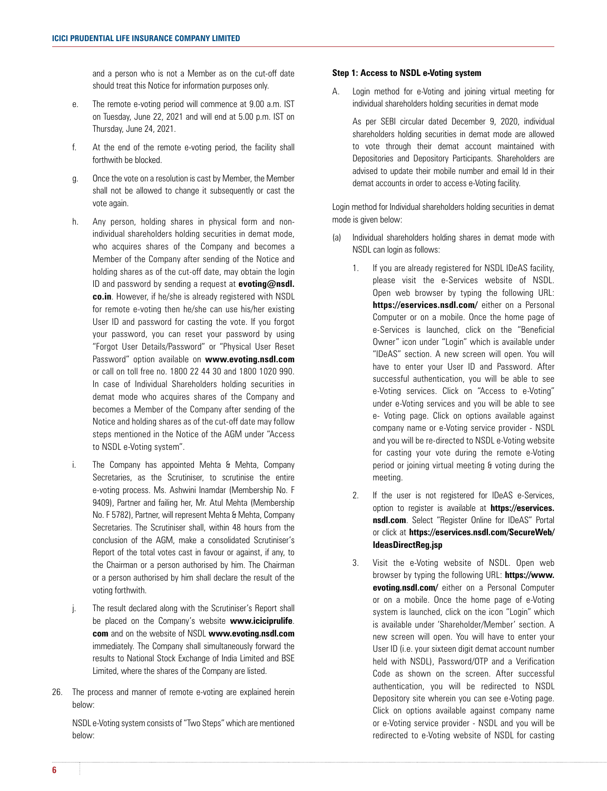and a person who is not a Member as on the cut-off date should treat this Notice for information purposes only.

- e. The remote e-voting period will commence at 9.00 a.m. IST on Tuesday, June 22, 2021 and will end at 5.00 p.m. IST on Thursday, June 24, 2021.
- f. At the end of the remote e-voting period, the facility shall forthwith be blocked.
- g. Once the vote on a resolution is cast by Member, the Member shall not be allowed to change it subsequently or cast the vote again.
- h. Any person, holding shares in physical form and nonindividual shareholders holding securities in demat mode, who acquires shares of the Company and becomes a Member of the Company after sending of the Notice and holding shares as of the cut-off date, may obtain the login ID and password by sending a request at **evoting@nsdl. co.in**. However, if he/she is already registered with NSDL for remote e-voting then he/she can use his/her existing User ID and password for casting the vote. If you forgot your password, you can reset your password by using "Forgot User Details/Password" or "Physical User Reset Password" option available on **www.evoting.nsdl.com** or call on toll free no. 1800 22 44 30 and 1800 1020 990. In case of Individual Shareholders holding securities in demat mode who acquires shares of the Company and becomes a Member of the Company after sending of the Notice and holding shares as of the cut-off date may follow steps mentioned in the Notice of the AGM under "Access to NSDL e-Voting system".
- i. The Company has appointed Mehta & Mehta, Company Secretaries, as the Scrutiniser, to scrutinise the entire e-voting process. Ms. Ashwini Inamdar (Membership No. F 9409), Partner and failing her, Mr. Atul Mehta (Membership No. F 5782), Partner, will represent Mehta & Mehta, Company Secretaries. The Scrutiniser shall, within 48 hours from the conclusion of the AGM, make a consolidated Scrutiniser's Report of the total votes cast in favour or against, if any, to the Chairman or a person authorised by him. The Chairman or a person authorised by him shall declare the result of the voting forthwith.
- j. The result declared along with the Scrutiniser's Report shall be placed on the Company's website **www.iciciprulife**. **com** and on the website of NSDL **www.evoting.nsdl.com** immediately. The Company shall simultaneously forward the results to National Stock Exchange of India Limited and BSE Limited, where the shares of the Company are listed.
- 26. The process and manner of remote e-voting are explained herein below:

 NSDL e-Voting system consists of "Two Steps" which are mentioned below:

# **Step 1: Access to NSDL e-Voting system**

A. Login method for e-Voting and joining virtual meeting for individual shareholders holding securities in demat mode

 As per SEBI circular dated December 9, 2020, individual shareholders holding securities in demat mode are allowed to vote through their demat account maintained with Depositories and Depository Participants. Shareholders are advised to update their mobile number and email Id in their demat accounts in order to access e-Voting facility.

 Login method for Individual shareholders holding securities in demat mode is given below:

- (a) Individual shareholders holding shares in demat mode with NSDL can login as follows:
	- 1. If you are already registered for NSDL IDeAS facility, please visit the e-Services website of NSDL. Open web browser by typing the following URL: **https://eservices.nsdl.com/** either on a Personal Computer or on a mobile. Once the home page of e-Services is launched, click on the "Beneficial Owner" icon under "Login" which is available under "IDeAS" section. A new screen will open. You will have to enter your User ID and Password. After successful authentication, you will be able to see e-Voting services. Click on "Access to e-Voting" under e-Voting services and you will be able to see e- Voting page. Click on options available against company name or e-Voting service provider - NSDL and you will be re-directed to NSDL e-Voting website for casting your vote during the remote e-Voting period or joining virtual meeting & voting during the meeting.
	- 2. If the user is not registered for IDeAS e-Services, option to register is available at **https://eservices. nsdl.com**. Select "Register Online for IDeAS" Portal or click at **https://eservices.nsdl.com/SecureWeb/ IdeasDirectReg.jsp**
	- 3. Visit the e-Voting website of NSDL. Open web browser by typing the following URL: **https://www. evoting.nsdl.com/** either on a Personal Computer or on a mobile. Once the home page of e-Voting system is launched, click on the icon "Login" which is available under 'Shareholder/Member' section. A new screen will open. You will have to enter your User ID (i.e. your sixteen digit demat account number held with NSDL), Password/OTP and a Verification Code as shown on the screen. After successful authentication, you will be redirected to NSDL Depository site wherein you can see e-Voting page. Click on options available against company name or e-Voting service provider - NSDL and you will be redirected to e-Voting website of NSDL for casting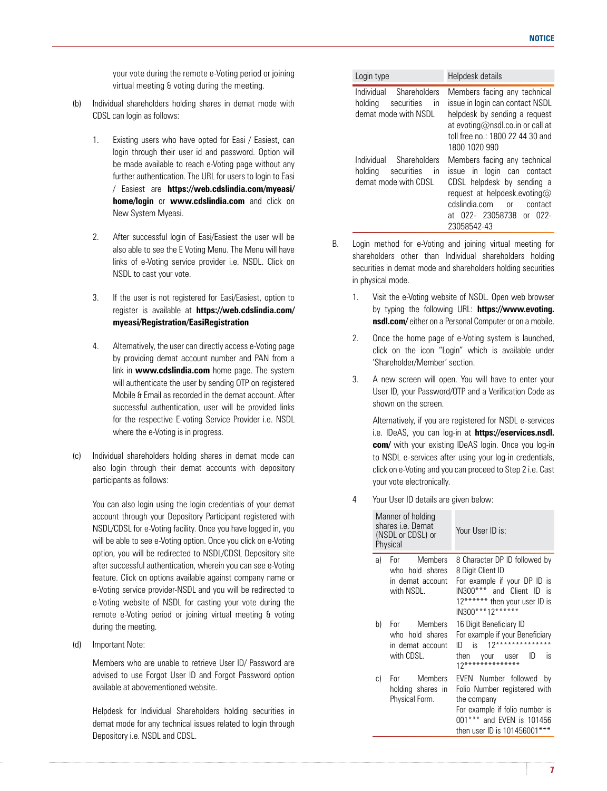your vote during the remote e-Voting period or joining virtual meeting & voting during the meeting.

- (b) Individual shareholders holding shares in demat mode with CDSL can login as follows:
	- 1. Existing users who have opted for Easi / Easiest, can login through their user id and password. Option will be made available to reach e-Voting page without any further authentication. The URL for users to login to Easi / Easiest are **https://web.cdslindia.com/myeasi/ home/login** or **www.cdslindia.com** and click on New System Myeasi.
	- 2. After successful login of Easi/Easiest the user will be also able to see the E Voting Menu. The Menu will have links of e-Voting service provider i.e. NSDL. Click on NSDL to cast your vote.
	- 3. If the user is not registered for Easi/Easiest, option to register is available at **https://web.cdslindia.com/ myeasi/Registration/EasiRegistration**
	- 4. Alternatively, the user can directly access e-Voting page by providing demat account number and PAN from a link in **www.cdslindia.com** home page. The system will authenticate the user by sending OTP on registered Mobile & Email as recorded in the demat account. After successful authentication, user will be provided links for the respective E-voting Service Provider i.e. NSDL where the e-Voting is in progress.
- (c) Individual shareholders holding shares in demat mode can also login through their demat accounts with depository participants as follows:

 You can also login using the login credentials of your demat account through your Depository Participant registered with NSDL/CDSL for e-Voting facility. Once you have logged in, you will be able to see e-Voting option. Once you click on e-Voting option, you will be redirected to NSDL/CDSL Depository site after successful authentication, wherein you can see e-Voting feature. Click on options available against company name or e-Voting service provider-NSDL and you will be redirected to e-Voting website of NSDL for casting your vote during the remote e-Voting period or joining virtual meeting & voting during the meeting.

(d) Important Note:

 Members who are unable to retrieve User ID/ Password are advised to use Forgot User ID and Forgot Password option available at abovementioned website.

 Helpdesk for Individual Shareholders holding securities in demat mode for any technical issues related to login through Depository i.e. NSDL and CDSL.

| Login type                                                                                             | Helpdesk details                                                                                                                                                                                      |
|--------------------------------------------------------------------------------------------------------|-------------------------------------------------------------------------------------------------------------------------------------------------------------------------------------------------------|
| Individual Shareholders<br>securities<br>holding<br>$\mathsf{I}$<br>demat mode with NSDL               | Members facing any technical<br>issue in login can contact NSDL<br>helpdesk by sending a request<br>at evoting@nsdl.co.in or call at<br>toll free no : 1800 22 44 30 and<br>1800 1020 990             |
| Individual<br>Shareholders<br>holding<br>securities<br>$\mathsf{I} \mathsf{n}$<br>demat mode with CDSL | Members facing any technical<br>issue in login can contact<br>CDSL helpdesk by sending a<br>request at helpdesk.evoting@<br>cdslindia com<br>contact<br>nr<br>at 022- 23058738 or 022-<br>23058542-43 |

- B. Login method for e-Voting and joining virtual meeting for shareholders other than Individual shareholders holding securities in demat mode and shareholders holding securities in physical mode.
	- 1. Visit the e-Voting website of NSDL. Open web browser by typing the following URL: **https://www.evoting. nsdl.com/** either on a Personal Computer or on a mobile.
	- 2. Once the home page of e-Voting system is launched, click on the icon "Login" which is available under 'Shareholder/Member' section.
	- 3. A new screen will open. You will have to enter your User ID, your Password/OTP and a Verification Code as shown on the screen.

 Alternatively, if you are registered for NSDL e-services i.e. IDeAS, you can log-in at **https://eservices.nsdl. com/** with your existing IDeAS login. Once you log-in to NSDL e-services after using your log-in credentials, click on e-Voting and you can proceed to Step 2 i.e. Cast your vote electronically.

4 Your User ID details are given below:

|    | Manner of holding<br>shares <i>i.e.</i> Demat<br>(NSDL or CDSL) or<br>Physical | Your User ID is:                                                                                                                                                          |
|----|--------------------------------------------------------------------------------|---------------------------------------------------------------------------------------------------------------------------------------------------------------------------|
| a) | For Members<br>who hold shares<br>in demat account<br>with NSDL.               | 8 Character DP ID followed by<br>8 Digit Client ID<br>For example if your DP ID is<br>IN300*** and Client ID is<br>12****** then your user ID is<br>IN300***12******      |
| b) | For Members<br>who hold shares<br>in demat account<br>with CDSL.               | 16 Digit Beneficiary ID<br>For example if your Beneficiary<br>$12****************$<br>$ID$ is<br>is<br>ID<br>then your user<br>12**************                           |
| C) | For Members<br>holding shares in<br>Physical Form.                             | EVEN Number followed<br>b٧<br>Folio Number registered with<br>the company<br>For example if folio number is<br>001*** and EVEN is 101456<br>then user ID is 101456001**** |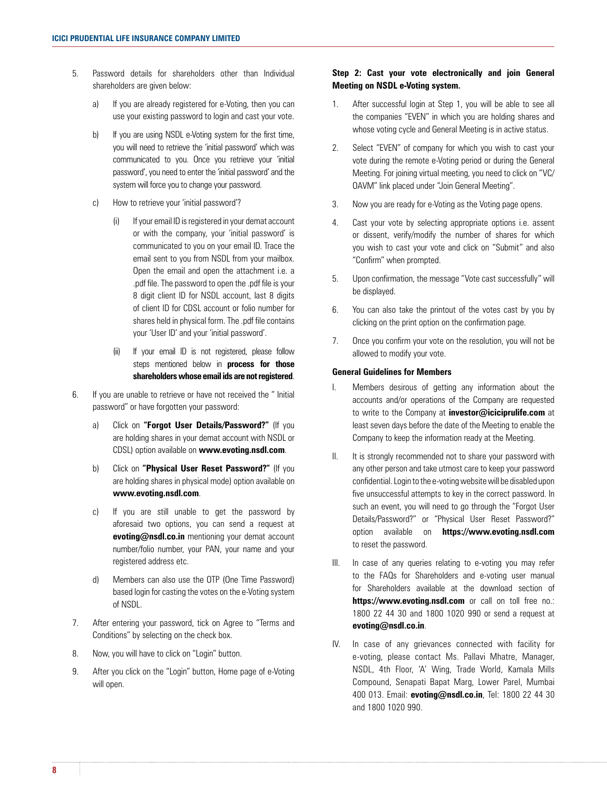- 5. Password details for shareholders other than Individual shareholders are given below:
	- a) If you are already registered for e-Voting, then you can use your existing password to login and cast your vote.
	- b) If you are using NSDL e-Voting system for the first time. you will need to retrieve the 'initial password' which was communicated to you. Once you retrieve your 'initial password', you need to enter the 'initial password' and the system will force you to change your password.
	- c) How to retrieve your 'initial password'?
		- (i) If your email ID is registered in your demat account or with the company, your 'initial password' is communicated to you on your email ID. Trace the email sent to you from NSDL from your mailbox. Open the email and open the attachment i.e. a .pdf file. The password to open the .pdf file is your 8 digit client ID for NSDL account, last 8 digits of client ID for CDSL account or folio number for shares held in physical form. The .pdf file contains your 'User ID' and your 'initial password'.
		- (ii) If your email ID is not registered, please follow steps mentioned below in **process for those shareholders whose email ids are not registered**.
- 6. If you are unable to retrieve or have not received the " Initial password" or have forgotten your password:
	- a) Click on **"Forgot User Details/Password?"** (If you are holding shares in your demat account with NSDL or CDSL) option available on **www.evoting.nsdl.com**.
	- b) Click on **"Physical User Reset Password?"** (If you are holding shares in physical mode) option available on **www.evoting.nsdl.com**.
	- c) If you are still unable to get the password by aforesaid two options, you can send a request at **evoting@nsdl.co.in** mentioning your demat account number/folio number, your PAN, your name and your registered address etc.
	- d) Members can also use the OTP (One Time Password) based login for casting the votes on the e-Voting system of NSDL.
- 7. After entering your password, tick on Agree to "Terms and Conditions" by selecting on the check box.
- 8. Now, you will have to click on "Login" button.
- 9. After you click on the "Login" button, Home page of e-Voting will open.

# **Step 2: Cast your vote electronically and join General Meeting on NSDL e-Voting system.**

- 1. After successful login at Step 1, you will be able to see all the companies "EVEN" in which you are holding shares and whose voting cycle and General Meeting is in active status.
- 2. Select "EVEN" of company for which you wish to cast your vote during the remote e-Voting period or during the General Meeting. For joining virtual meeting, you need to click on "VC/ OAVM" link placed under "Join General Meeting".
- 3. Now you are ready for e-Voting as the Voting page opens.
- 4. Cast your vote by selecting appropriate options i.e. assent or dissent, verify/modify the number of shares for which you wish to cast your vote and click on "Submit" and also "Confirm" when prompted.
- 5. Upon confirmation, the message "Vote cast successfully" will be displayed.
- 6. You can also take the printout of the votes cast by you by clicking on the print option on the confirmation page.
- 7. Once you confirm your vote on the resolution, you will not be allowed to modify your vote.

# **General Guidelines for Members**

- I. Members desirous of getting any information about the accounts and/or operations of the Company are requested to write to the Company at **investor@iciciprulife.com** at least seven days before the date of the Meeting to enable the Company to keep the information ready at the Meeting.
- II. It is strongly recommended not to share your password with any other person and take utmost care to keep your password confidential. Login to the e-voting website will be disabled upon five unsuccessful attempts to key in the correct password. In such an event, you will need to go through the "Forgot User Details/Password?" or "Physical User Reset Password?" option available on **https://www.evoting.nsdl.com** to reset the password.
- III. In case of any queries relating to e-voting you may refer to the FAQs for Shareholders and e-voting user manual for Shareholders available at the download section of https://www.evoting.nsdl.com or call on toll free no.: 1800 22 44 30 and 1800 1020 990 or send a request at **evoting@nsdl.co.in**.
- IV. In case of any grievances connected with facility for e-voting, please contact Ms. Pallavi Mhatre, Manager, NSDL, 4th Floor, 'A' Wing, Trade World, Kamala Mills Compound, Senapati Bapat Marg, Lower Parel, Mumbai 400 013. Email: **evoting@nsdl.co.in**, Tel: 1800 22 44 30 and 1800 1020 990.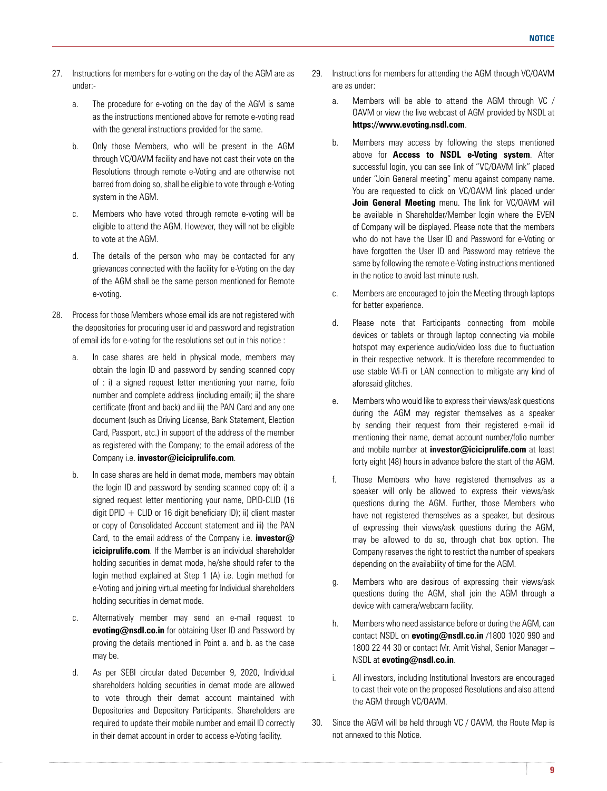- 27. Instructions for members for e-voting on the day of the AGM are as under:
	- a. The procedure for e-voting on the day of the AGM is same as the instructions mentioned above for remote e-voting read with the general instructions provided for the same.
	- b. Only those Members, who will be present in the AGM through VC/OAVM facility and have not cast their vote on the Resolutions through remote e-Voting and are otherwise not barred from doing so, shall be eligible to vote through e-Voting system in the AGM.
	- c. Members who have voted through remote e-voting will be eligible to attend the AGM. However, they will not be eligible to vote at the AGM.
	- d. The details of the person who may be contacted for any grievances connected with the facility for e-Voting on the day of the AGM shall be the same person mentioned for Remote e-voting.
- 28. Process for those Members whose email ids are not registered with the depositories for procuring user id and password and registration of email ids for e-voting for the resolutions set out in this notice :
	- a. In case shares are held in physical mode, members may obtain the login ID and password by sending scanned copy of : i) a signed request letter mentioning your name, folio number and complete address (including email); ii) the share certificate (front and back) and iii) the PAN Card and any one document (such as Driving License, Bank Statement, Election Card, Passport, etc.) in support of the address of the member as registered with the Company; to the email address of the Company i.e. **investor@iciciprulife.com**.
	- b. In case shares are held in demat mode, members may obtain the login ID and password by sending scanned copy of: i) a signed request letter mentioning your name, DPID-CLID (16 digit DPID  $+$  CLID or 16 digit beneficiary ID); ii) client master or copy of Consolidated Account statement and iii) the PAN Card, to the email address of the Company i.e. **investor@ iciciprulife.com**. If the Member is an individual shareholder holding securities in demat mode, he/she should refer to the login method explained at Step 1 (A) i.e. Login method for e-Voting and joining virtual meeting for Individual shareholders holding securities in demat mode.
	- c. Alternatively member may send an e-mail request to **evoting@nsdl.co.in** for obtaining User ID and Password by proving the details mentioned in Point a. and b. as the case may be.
	- d. As per SEBI circular dated December 9, 2020, Individual shareholders holding securities in demat mode are allowed to vote through their demat account maintained with Depositories and Depository Participants. Shareholders are required to update their mobile number and email ID correctly in their demat account in order to access e-Voting facility.
- 29. Instructions for members for attending the AGM through VC/OAVM are as under:
	- a. Members will be able to attend the AGM through VC / OAVM or view the live webcast of AGM provided by NSDL at **https://www.evoting.nsdl.com**.
	- b. Members may access by following the steps mentioned above for **Access to NSDL e-Voting system**. After successful login, you can see link of "VC/OAVM link" placed under "Join General meeting" menu against company name. You are requested to click on VC/OAVM link placed under **Join General Meeting** menu. The link for VC/OAVM will be available in Shareholder/Member login where the EVEN of Company will be displayed. Please note that the members who do not have the User ID and Password for e-Voting or have forgotten the User ID and Password may retrieve the same by following the remote e-Voting instructions mentioned in the notice to avoid last minute rush.
	- c. Members are encouraged to join the Meeting through laptops for better experience.
	- d. Please note that Participants connecting from mobile devices or tablets or through laptop connecting via mobile hotspot may experience audio/video loss due to fluctuation in their respective network. It is therefore recommended to use stable Wi-Fi or LAN connection to mitigate any kind of aforesaid glitches.
	- e. Members who would like to express their views/ask questions during the AGM may register themselves as a speaker by sending their request from their registered e-mail id mentioning their name, demat account number/folio number and mobile number at **investor@iciciprulife.com** at least forty eight (48) hours in advance before the start of the AGM.
	- f. Those Members who have registered themselves as a speaker will only be allowed to express their views/ask questions during the AGM. Further, those Members who have not registered themselves as a speaker, but desirous of expressing their views/ask questions during the AGM, may be allowed to do so, through chat box option. The Company reserves the right to restrict the number of speakers depending on the availability of time for the AGM.
	- g. Members who are desirous of expressing their views/ask questions during the AGM, shall join the AGM through a device with camera/webcam facility.
	- h. Members who need assistance before or during the AGM, can contact NSDL on **evoting@nsdl.co.in** /1800 1020 990 and 1800 22 44 30 or contact Mr. Amit Vishal, Senior Manager – NSDL at **evoting@nsdl.co.in**.
	- i. All investors, including Institutional Investors are encouraged to cast their vote on the proposed Resolutions and also attend the AGM through VC/OAVM.
- 30. Since the AGM will be held through VC / OAVM, the Route Map is not annexed to this Notice.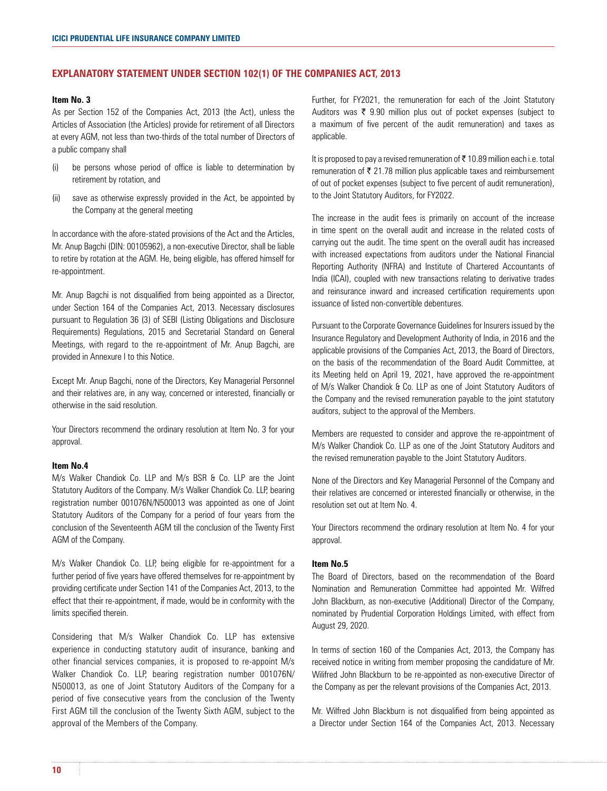## **EXPLANATORY STATEMENT UNDER SECTION 102(1) OF THE COMPANIES ACT, 2013**

## **Item No. 3**

As per Section 152 of the Companies Act, 2013 (the Act), unless the Articles of Association (the Articles) provide for retirement of all Directors at every AGM, not less than two-thirds of the total number of Directors of a public company shall

- (i) be persons whose period of office is liable to determination by retirement by rotation, and
- (ii) save as otherwise expressly provided in the Act, be appointed by the Company at the general meeting

In accordance with the afore-stated provisions of the Act and the Articles, Mr. Anup Bagchi (DIN: 00105962), a non-executive Director, shall be liable to retire by rotation at the AGM. He, being eligible, has offered himself for re-appointment.

Mr. Anup Bagchi is not disqualified from being appointed as a Director, under Section 164 of the Companies Act, 2013. Necessary disclosures pursuant to Regulation 36 (3) of SEBI (Listing Obligations and Disclosure Requirements) Regulations, 2015 and Secretarial Standard on General Meetings, with regard to the re-appointment of Mr. Anup Bagchi, are provided in Annexure I to this Notice.

Except Mr. Anup Bagchi, none of the Directors, Key Managerial Personnel and their relatives are, in any way, concerned or interested, financially or otherwise in the said resolution.

Your Directors recommend the ordinary resolution at Item No. 3 for your approval.

## **Item No.4**

M/s Walker Chandiok Co. LLP and M/s BSR & Co. LLP are the Joint Statutory Auditors of the Company. M/s Walker Chandiok Co. LLP, bearing registration number 001076N/N500013 was appointed as one of Joint Statutory Auditors of the Company for a period of four years from the conclusion of the Seventeenth AGM till the conclusion of the Twenty First AGM of the Company.

M/s Walker Chandiok Co. LLP, being eligible for re-appointment for a further period of five years have offered themselves for re-appointment by providing certificate under Section 141 of the Companies Act, 2013, to the effect that their re-appointment, if made, would be in conformity with the limits specified therein.

Considering that M/s Walker Chandiok Co. LLP has extensive experience in conducting statutory audit of insurance, banking and other financial services companies, it is proposed to re-appoint M/s Walker Chandiok Co. LLP, bearing registration number 001076N/ N500013, as one of Joint Statutory Auditors of the Company for a period of five consecutive years from the conclusion of the Twenty First AGM till the conclusion of the Twenty Sixth AGM, subject to the approval of the Members of the Company.

Further, for FY2021, the remuneration for each of the Joint Statutory Auditors was  $\bar{\tau}$  9.90 million plus out of pocket expenses (subject to a maximum of five percent of the audit remuneration) and taxes as applicable.

It is proposed to pay a revised remuneration of  $\bar{\tau}$  10.89 million each i.e. total remuneration of  $\bar{\tau}$  21.78 million plus applicable taxes and reimbursement of out of pocket expenses (subject to five percent of audit remuneration), to the Joint Statutory Auditors, for FY2022.

The increase in the audit fees is primarily on account of the increase in time spent on the overall audit and increase in the related costs of carrying out the audit. The time spent on the overall audit has increased with increased expectations from auditors under the National Financial Reporting Authority (NFRA) and Institute of Chartered Accountants of India (ICAI), coupled with new transactions relating to derivative trades and reinsurance inward and increased certification requirements upon issuance of listed non-convertible debentures.

Pursuant to the Corporate Governance Guidelines for Insurers issued by the Insurance Regulatory and Development Authority of India, in 2016 and the applicable provisions of the Companies Act, 2013, the Board of Directors, on the basis of the recommendation of the Board Audit Committee, at its Meeting held on April 19, 2021, have approved the re-appointment of M/s Walker Chandiok & Co. LLP as one of Joint Statutory Auditors of the Company and the revised remuneration payable to the joint statutory auditors, subject to the approval of the Members.

Members are requested to consider and approve the re-appointment of M/s Walker Chandiok Co. LLP as one of the Joint Statutory Auditors and the revised remuneration payable to the Joint Statutory Auditors.

None of the Directors and Key Managerial Personnel of the Company and their relatives are concerned or interested financially or otherwise, in the resolution set out at Item No. 4.

Your Directors recommend the ordinary resolution at Item No. 4 for your approval.

#### **Item No.5**

The Board of Directors, based on the recommendation of the Board Nomination and Remuneration Committee had appointed Mr. Wilfred John Blackburn, as non-executive (Additional) Director of the Company, nominated by Prudential Corporation Holdings Limited, with effect from August 29, 2020.

In terms of section 160 of the Companies Act, 2013, the Company has received notice in writing from member proposing the candidature of Mr. Wilifred John Blackburn to be re-appointed as non-executive Director of the Company as per the relevant provisions of the Companies Act, 2013.

Mr. Wilfred John Blackburn is not disqualified from being appointed as a Director under Section 164 of the Companies Act, 2013. Necessary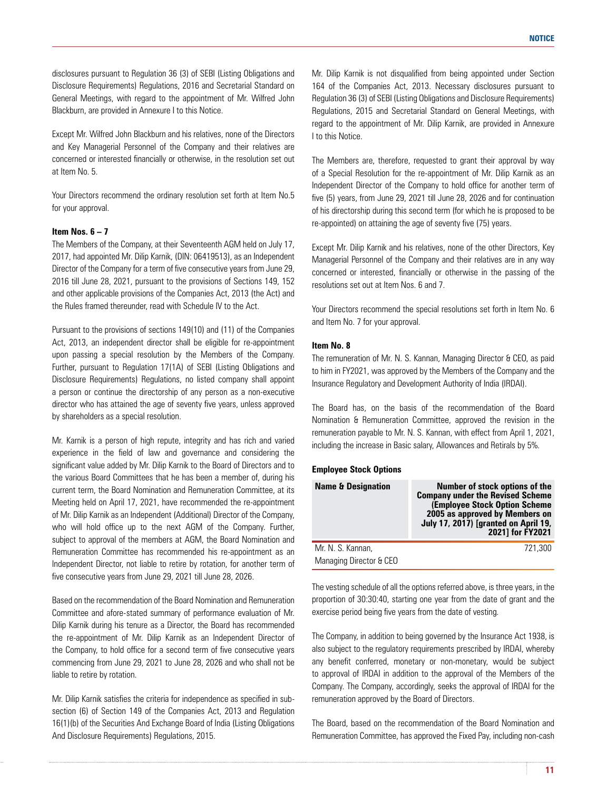disclosures pursuant to Regulation 36 (3) of SEBI (Listing Obligations and Disclosure Requirements) Regulations, 2016 and Secretarial Standard on General Meetings, with regard to the appointment of Mr. Wilfred John Blackburn, are provided in Annexure I to this Notice.

Except Mr. Wilfred John Blackburn and his relatives, none of the Directors and Key Managerial Personnel of the Company and their relatives are concerned or interested financially or otherwise, in the resolution set out at Item No. 5.

Your Directors recommend the ordinary resolution set forth at Item No.5 for your approval.

## **Item Nos. 6 – 7**

The Members of the Company, at their Seventeenth AGM held on July 17, 2017, had appointed Mr. Dilip Karnik, (DIN: 06419513), as an Independent Director of the Company for a term of five consecutive years from June 29, 2016 till June 28, 2021, pursuant to the provisions of Sections 149, 152 and other applicable provisions of the Companies Act, 2013 (the Act) and the Rules framed thereunder, read with Schedule IV to the Act.

Pursuant to the provisions of sections 149(10) and (11) of the Companies Act, 2013, an independent director shall be eligible for re-appointment upon passing a special resolution by the Members of the Company. Further, pursuant to Regulation 17(1A) of SEBI (Listing Obligations and Disclosure Requirements) Regulations, no listed company shall appoint a person or continue the directorship of any person as a non-executive director who has attained the age of seventy five years, unless approved by shareholders as a special resolution.

Mr. Karnik is a person of high repute, integrity and has rich and varied experience in the field of law and governance and considering the significant value added by Mr. Dilip Karnik to the Board of Directors and to the various Board Committees that he has been a member of, during his current term, the Board Nomination and Remuneration Committee, at its Meeting held on April 17, 2021, have recommended the re-appointment of Mr. Dilip Karnik as an Independent (Additional) Director of the Company, who will hold office up to the next AGM of the Company. Further, subject to approval of the members at AGM, the Board Nomination and Remuneration Committee has recommended his re-appointment as an Independent Director, not liable to retire by rotation, for another term of five consecutive years from June 29, 2021 till June 28, 2026.

Based on the recommendation of the Board Nomination and Remuneration Committee and afore-stated summary of performance evaluation of Mr. Dilip Karnik during his tenure as a Director, the Board has recommended the re-appointment of Mr. Dilip Karnik as an Independent Director of the Company, to hold office for a second term of five consecutive years commencing from June 29, 2021 to June 28, 2026 and who shall not be liable to retire by rotation.

Mr. Dilip Karnik satisfies the criteria for independence as specified in subsection (6) of Section 149 of the Companies Act, 2013 and Regulation 16(1)(b) of the Securities And Exchange Board of India (Listing Obligations And Disclosure Requirements) Regulations, 2015.

Mr. Dilip Karnik is not disqualified from being appointed under Section 164 of the Companies Act, 2013. Necessary disclosures pursuant to Regulation 36 (3) of SEBI (Listing Obligations and Disclosure Requirements) Regulations, 2015 and Secretarial Standard on General Meetings, with regard to the appointment of Mr. Dilip Karnik, are provided in Annexure I to this Notice.

The Members are, therefore, requested to grant their approval by way of a Special Resolution for the re-appointment of Mr. Dilip Karnik as an Independent Director of the Company to hold office for another term of five (5) years, from June 29, 2021 till June 28, 2026 and for continuation of his directorship during this second term (for which he is proposed to be re-appointed) on attaining the age of seventy five (75) years.

Except Mr. Dilip Karnik and his relatives, none of the other Directors, Key Managerial Personnel of the Company and their relatives are in any way concerned or interested, financially or otherwise in the passing of the resolutions set out at Item Nos. 6 and 7.

Your Directors recommend the special resolutions set forth in Item No. 6 and Item No. 7 for your approval.

# **Item No. 8**

The remuneration of Mr. N. S. Kannan, Managing Director & CEO, as paid to him in FY2021, was approved by the Members of the Company and the Insurance Regulatory and Development Authority of India (IRDAI).

The Board has, on the basis of the recommendation of the Board Nomination & Remuneration Committee, approved the revision in the remuneration payable to Mr. N. S. Kannan, with effect from April 1, 2021, including the increase in Basic salary, Allowances and Retirals by 5%.

#### **Employee Stock Options**

| <b>Name &amp; Designation</b>                | <b>Number of stock options of the</b><br><b>Company under the Revised Scheme</b><br>(Employee Stock Option Scheme<br>2005 as approved by Members on<br><b>July 17, 2017) [granted on April 19,</b><br>2021] for FY2021 |
|----------------------------------------------|------------------------------------------------------------------------------------------------------------------------------------------------------------------------------------------------------------------------|
| Mr. N. S. Kannan,<br>Managing Director & CEO | 721.300                                                                                                                                                                                                                |

The vesting schedule of all the options referred above, is three years, in the proportion of 30:30:40, starting one year from the date of grant and the exercise period being five years from the date of vesting.

The Company, in addition to being governed by the Insurance Act 1938, is also subject to the regulatory requirements prescribed by IRDAI, whereby any benefit conferred, monetary or non-monetary, would be subject to approval of IRDAI in addition to the approval of the Members of the Company. The Company, accordingly, seeks the approval of IRDAI for the remuneration approved by the Board of Directors.

The Board, based on the recommendation of the Board Nomination and Remuneration Committee, has approved the Fixed Pay, including non-cash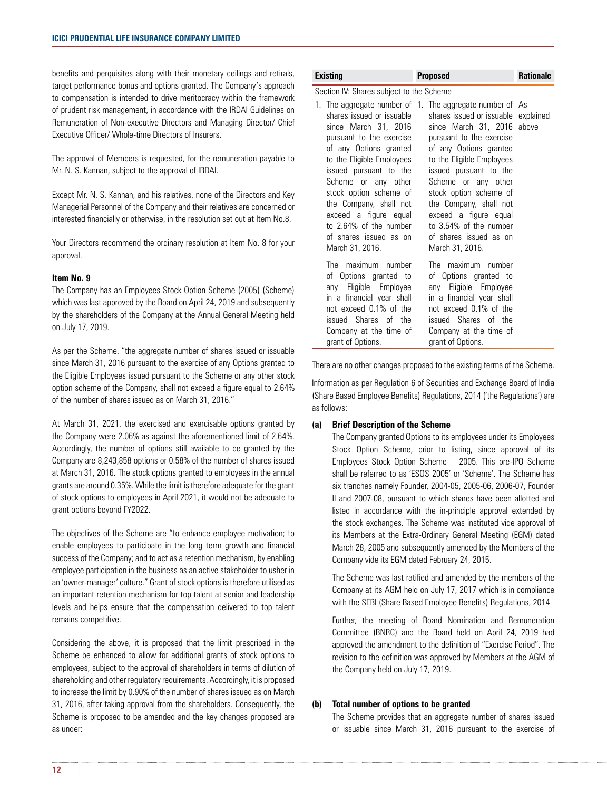benefits and perquisites along with their monetary ceilings and retirals, target performance bonus and options granted. The Company's approach to compensation is intended to drive meritocracy within the framework of prudent risk management, in accordance with the IRDAI Guidelines on Remuneration of Non-executive Directors and Managing Director/ Chief Executive Officer/ Whole-time Directors of Insurers.

The approval of Members is requested, for the remuneration payable to Mr. N. S. Kannan, subject to the approval of IRDAI.

Except Mr. N. S. Kannan, and his relatives, none of the Directors and Key Managerial Personnel of the Company and their relatives are concerned or interested financially or otherwise, in the resolution set out at Item No.8.

Your Directors recommend the ordinary resolution at Item No. 8 for your approval.

# **Item No. 9**

The Company has an Employees Stock Option Scheme (2005) (Scheme) which was last approved by the Board on April 24, 2019 and subsequently by the shareholders of the Company at the Annual General Meeting held on July 17, 2019.

As per the Scheme, "the aggregate number of shares issued or issuable since March 31, 2016 pursuant to the exercise of any Options granted to the Eligible Employees issued pursuant to the Scheme or any other stock option scheme of the Company, shall not exceed a figure equal to 2.64% of the number of shares issued as on March 31, 2016."

At March 31, 2021, the exercised and exercisable options granted by the Company were 2.06% as against the aforementioned limit of 2.64%. Accordingly, the number of options still available to be granted by the Company are 8,243,858 options or 0.58% of the number of shares issued at March 31, 2016. The stock options granted to employees in the annual grants are around 0.35%. While the limit is therefore adequate for the grant of stock options to employees in April 2021, it would not be adequate to grant options beyond FY2022.

The objectives of the Scheme are "to enhance employee motivation; to enable employees to participate in the long term growth and financial success of the Company; and to act as a retention mechanism, by enabling employee participation in the business as an active stakeholder to usher in an 'owner-manager' culture." Grant of stock options is therefore utilised as an important retention mechanism for top talent at senior and leadership levels and helps ensure that the compensation delivered to top talent remains competitive.

Considering the above, it is proposed that the limit prescribed in the Scheme be enhanced to allow for additional grants of stock options to employees, subject to the approval of shareholders in terms of dilution of shareholding and other regulatory requirements. Accordingly, it is proposed to increase the limit by 0.90% of the number of shares issued as on March 31, 2016, after taking approval from the shareholders. Consequently, the Scheme is proposed to be amended and the key changes proposed are as under:

| Existing                                                                                                                                                                                                                                                                                                                                                                              | <b>Proposed</b>                                                                                                                                                                                                                                                                                                                                                                                                       | <b>Rationale</b> |
|---------------------------------------------------------------------------------------------------------------------------------------------------------------------------------------------------------------------------------------------------------------------------------------------------------------------------------------------------------------------------------------|-----------------------------------------------------------------------------------------------------------------------------------------------------------------------------------------------------------------------------------------------------------------------------------------------------------------------------------------------------------------------------------------------------------------------|------------------|
| Section IV: Shares subject to the Scheme<br>shares issued or issuable<br>since March 31, 2016<br>pursuant to the exercise<br>of any Options granted<br>to the Eligible Employees<br>issued pursuant to the<br>Scheme or any other<br>stock option scheme of<br>the Company, shall not<br>exceed a figure equal<br>to 2.64% of the number<br>of shares issued as on<br>March 31, 2016. | 1. The aggregate number of 1. The aggregate number of As<br>shares issued or issuable explained<br>since March 31, 2016 above<br>pursuant to the exercise<br>of any Options granted<br>to the Eligible Employees<br>issued pursuant to the<br>Scheme or any other<br>stock option scheme of<br>the Company, shall not<br>exceed a figure equal<br>to 3.54% of the number<br>of shares issued as on<br>March 31, 2016. |                  |
| The maximum number<br>of Options granted to<br>any Eligible Employee<br>in a financial year shall<br>not exceed 0.1% of the<br>issued Shares of the<br>Company at the time of<br>grant of Options.                                                                                                                                                                                    | The maximum number<br>of Options granted to<br>any Eligible Employee<br>in a financial year shall<br>not exceed 0.1% of the<br>issued Shares of the<br>Company at the time of<br>grant of Options.                                                                                                                                                                                                                    |                  |

There are no other changes proposed to the existing terms of the Scheme.

Information as per Regulation 6 of Securities and Exchange Board of India (Share Based Employee Benefits) Regulations, 2014 ('the Regulations') are as follows:

## **(a) Brief Description of the Scheme**

 The Company granted Options to its employees under its Employees Stock Option Scheme, prior to listing, since approval of its Employees Stock Option Scheme – 2005. This pre-IPO Scheme shall be referred to as 'ESOS 2005' or 'Scheme'. The Scheme has six tranches namely Founder, 2004-05, 2005-06, 2006-07, Founder II and 2007-08, pursuant to which shares have been allotted and listed in accordance with the in-principle approval extended by the stock exchanges. The Scheme was instituted vide approval of its Members at the Extra-Ordinary General Meeting (EGM) dated March 28, 2005 and subsequently amended by the Members of the Company vide its EGM dated February 24, 2015.

 The Scheme was last ratified and amended by the members of the Company at its AGM held on July 17, 2017 which is in compliance with the SEBI (Share Based Employee Benefits) Regulations, 2014

 Further, the meeting of Board Nomination and Remuneration Committee (BNRC) and the Board held on April 24, 2019 had approved the amendment to the definition of "Exercise Period". The revision to the definition was approved by Members at the AGM of the Company held on July 17, 2019.

# **(b) Total number of options to be granted**

 The Scheme provides that an aggregate number of shares issued or issuable since March 31, 2016 pursuant to the exercise of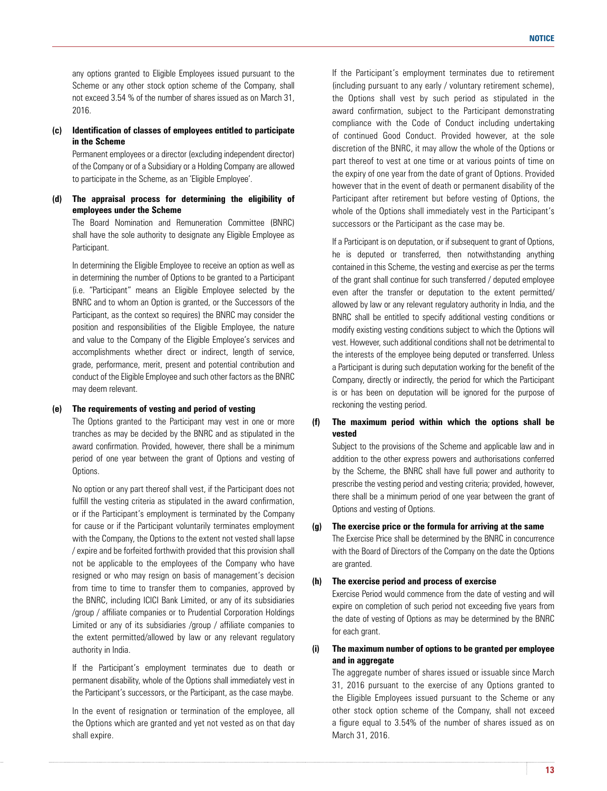any options granted to Eligible Employees issued pursuant to the Scheme or any other stock option scheme of the Company, shall not exceed 3.54 % of the number of shares issued as on March 31, 2016.

## **(c) Identification of classes of employees entitled to participate in the Scheme**

 Permanent employees or a director (excluding independent director) of the Company or of a Subsidiary or a Holding Company are allowed to participate in the Scheme, as an 'Eligible Employee'.

## **(d) The appraisal process for determining the eligibility of employees under the Scheme**

 The Board Nomination and Remuneration Committee (BNRC) shall have the sole authority to designate any Eligible Employee as Participant.

 In determining the Eligible Employee to receive an option as well as in determining the number of Options to be granted to a Participant (i.e. "Participant" means an Eligible Employee selected by the BNRC and to whom an Option is granted, or the Successors of the Participant, as the context so requires) the BNRC may consider the position and responsibilities of the Eligible Employee, the nature and value to the Company of the Eligible Employee's services and accomplishments whether direct or indirect, length of service, grade, performance, merit, present and potential contribution and conduct of the Eligible Employee and such other factors as the BNRC may deem relevant.

## **(e) The requirements of vesting and period of vesting**

 The Options granted to the Participant may vest in one or more tranches as may be decided by the BNRC and as stipulated in the award confirmation. Provided, however, there shall be a minimum period of one year between the grant of Options and vesting of Options.

 No option or any part thereof shall vest, if the Participant does not fulfill the vesting criteria as stipulated in the award confirmation, or if the Participant's employment is terminated by the Company for cause or if the Participant voluntarily terminates employment with the Company, the Options to the extent not vested shall lapse / expire and be forfeited forthwith provided that this provision shall not be applicable to the employees of the Company who have resigned or who may resign on basis of management's decision from time to time to transfer them to companies, approved by the BNRC, including ICICI Bank Limited, or any of its subsidiaries /group / affiliate companies or to Prudential Corporation Holdings Limited or any of its subsidiaries /group / affiliate companies to the extent permitted/allowed by law or any relevant regulatory authority in India.

 If the Participant's employment terminates due to death or permanent disability, whole of the Options shall immediately vest in the Participant's successors, or the Participant, as the case maybe.

In the event of resignation or termination of the employee, all the Options which are granted and yet not vested as on that day shall expire.

 If the Participant's employment terminates due to retirement (including pursuant to any early / voluntary retirement scheme), the Options shall vest by such period as stipulated in the award confirmation, subject to the Participant demonstrating compliance with the Code of Conduct including undertaking of continued Good Conduct. Provided however, at the sole discretion of the BNRC, it may allow the whole of the Options or part thereof to vest at one time or at various points of time on the expiry of one year from the date of grant of Options. Provided however that in the event of death or permanent disability of the Participant after retirement but before vesting of Options, the whole of the Options shall immediately vest in the Participant's successors or the Participant as the case may be.

 If a Participant is on deputation, or if subsequent to grant of Options, he is deputed or transferred, then notwithstanding anything contained in this Scheme, the vesting and exercise as per the terms of the grant shall continue for such transferred / deputed employee even after the transfer or deputation to the extent permitted/ allowed by law or any relevant regulatory authority in India, and the BNRC shall be entitled to specify additional vesting conditions or modify existing vesting conditions subject to which the Options will vest. However, such additional conditions shall not be detrimental to the interests of the employee being deputed or transferred. Unless a Participant is during such deputation working for the benefit of the Company, directly or indirectly, the period for which the Participant is or has been on deputation will be ignored for the purpose of reckoning the vesting period.

# **(f) The maximum period within which the options shall be vested**

 Subject to the provisions of the Scheme and applicable law and in addition to the other express powers and authorisations conferred by the Scheme, the BNRC shall have full power and authority to prescribe the vesting period and vesting criteria; provided, however, there shall be a minimum period of one year between the grant of Options and vesting of Options.

## **(g) The exercise price or the formula for arriving at the same**

 The Exercise Price shall be determined by the BNRC in concurrence with the Board of Directors of the Company on the date the Options are granted.

## **(h) The exercise period and process of exercise**

 Exercise Period would commence from the date of vesting and will expire on completion of such period not exceeding five years from the date of vesting of Options as may be determined by the BNRC for each grant.

# **(i) The maximum number of options to be granted per employee and in aggregate**

 The aggregate number of shares issued or issuable since March 31, 2016 pursuant to the exercise of any Options granted to the Eligible Employees issued pursuant to the Scheme or any other stock option scheme of the Company, shall not exceed a figure equal to 3.54% of the number of shares issued as on March 31, 2016.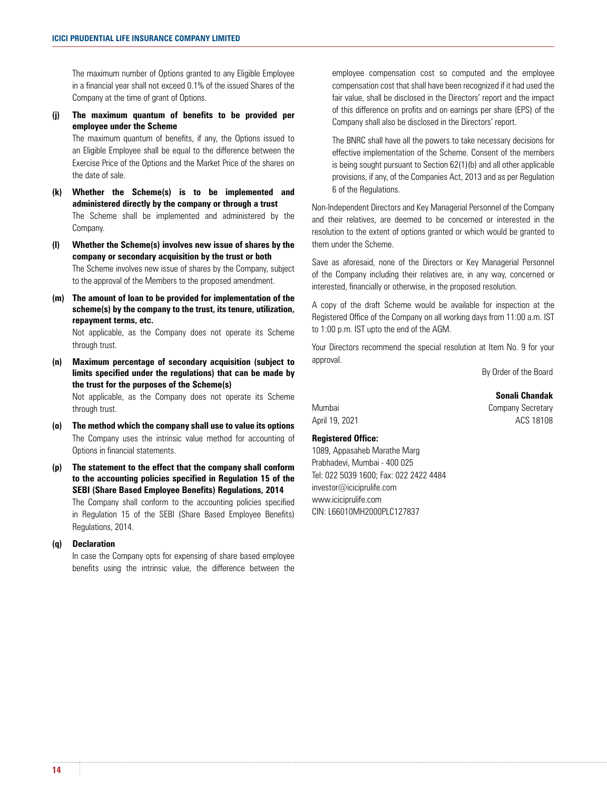The maximum number of Options granted to any Eligible Employee in a financial year shall not exceed 0.1% of the issued Shares of the Company at the time of grant of Options.

**(j) The maximum quantum of benefits to be provided per employee under the Scheme**

 The maximum quantum of benefits, if any, the Options issued to an Eligible Employee shall be equal to the difference between the Exercise Price of the Options and the Market Price of the shares on the date of sale.

- **(k) Whether the Scheme(s) is to be implemented and administered directly by the company or through a trust**  The Scheme shall be implemented and administered by the Company.
- **(l) Whether the Scheme(s) involves new issue of shares by the company or secondary acquisition by the trust or both** The Scheme involves new issue of shares by the Company, subject to the approval of the Members to the proposed amendment.
- **(m) The amount of loan to be provided for implementation of the scheme(s) by the company to the trust, its tenure, utilization, repayment terms, etc.**

 Not applicable, as the Company does not operate its Scheme through trust.

**(n) Maximum percentage of secondary acquisition (subject to limits specified under the regulations) that can be made by the trust for the purposes of the Scheme(s)** 

 Not applicable, as the Company does not operate its Scheme through trust.

- **(o) The method which the company shall use to value its options** The Company uses the intrinsic value method for accounting of Options in financial statements.
- **(p) The statement to the effect that the company shall conform to the accounting policies specified in Regulation 15 of the SEBI (Share Based Employee Benefits) Regulations, 2014** The Company shall conform to the accounting policies specified in Regulation 15 of the SEBI (Share Based Employee Benefits) Regulations, 2014.

## **(q) Declaration**

 In case the Company opts for expensing of share based employee benefits using the intrinsic value, the difference between the employee compensation cost so computed and the employee compensation cost that shall have been recognized if it had used the fair value, shall be disclosed in the Directors' report and the impact of this difference on profits and on earnings per share (EPS) of the Company shall also be disclosed in the Directors' report.

 The BNRC shall have all the powers to take necessary decisions for effective implementation of the Scheme. Consent of the members is being sought pursuant to Section 62(1)(b) and all other applicable provisions, if any, of the Companies Act, 2013 and as per Regulation 6 of the Regulations.

Non-Independent Directors and Key Managerial Personnel of the Company and their relatives, are deemed to be concerned or interested in the resolution to the extent of options granted or which would be granted to them under the Scheme.

Save as aforesaid, none of the Directors or Key Managerial Personnel of the Company including their relatives are, in any way, concerned or interested, financially or otherwise, in the proposed resolution.

A copy of the draft Scheme would be available for inspection at the Registered Office of the Company on all working days from 11:00 a.m. IST to 1:00 p.m. IST upto the end of the AGM.

Your Directors recommend the special resolution at Item No. 9 for your approval.

By Order of the Board

**Sonali Chandak**

Mumbai **Company Secretary** April 19, 2021 **ADD** 2021

# **Registered Office:**

1089, Appasaheb Marathe Marg Prabhadevi, Mumbai - 400 025 Tel: 022 5039 1600; Fax: 022 2422 4484 investor@iciciprulife.com www.iciciprulife.com CIN: L66010MH2000PLC127837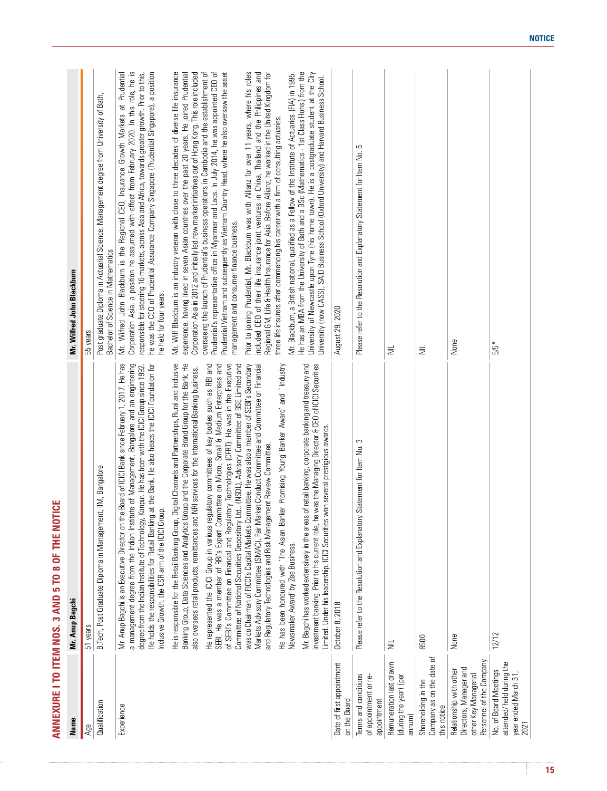| None<br>$\equiv$<br>言<br>He represented the ICICI Group in various regulatory committees of key bodies such as RBI and<br>SEBI. He was a member of RBI's Expert Committee on Micro, Small & Medium Enterprises and<br>of SEBI's Committee on Financial and Re<br>bue Annse<br>`Industry<br>Mr. Bagchi has worked extensively in the areas of retail banking, corporate banking and treasury and<br>investment banking. Prior to his current role, he was the Managing Director & CEO of ICICI Securities<br>Limited. Under his<br>He has been honoured with 'The Asian Banker Promising Young Banker Award' and<br>Newsmaker Award' by Zee Business.<br>Please refer to the Resolution and Explanatory Statement for Item No. 3<br>ement Review Committee.<br>and Regulatory Technologies and Risk Manag<br>October 8, 2018<br>None<br>8500<br>$\equiv$<br>Shareholding in the<br>Company as on the date of<br>this notice<br>Date of first appointment<br>on the Board<br>eration last drawn<br>Terms and conditions<br>(during the year) (per<br>nent or re-<br>appointment<br>of appointm<br>annum)<br>Rem | Mr. Blackburn, a British national, qualified as a Fellow of the Institute of Actuaries (FIA) in 1995.<br>He has an MBA from the University of Bath and a BSc (Mathematics - 1st Class Hons.) from the<br>University of Newcastle upo<br>Mr. Wilf Blackburn is an industry veteran with close to three decades of diverse life insurance<br>experience, having lived in seven Asian countries over the past 20 years. He joined Prudential<br>Corporation Asia in 2012 and in<br>Prior to joining Prudential, Mr. Blackburn was with Allianz for over 11 years, where his roles<br>included CEO of their life insurance joint ventures in China, Thailand and the Philippines and<br>Regional GM, Life & Health Insur |
|---------------------------------------------------------------------------------------------------------------------------------------------------------------------------------------------------------------------------------------------------------------------------------------------------------------------------------------------------------------------------------------------------------------------------------------------------------------------------------------------------------------------------------------------------------------------------------------------------------------------------------------------------------------------------------------------------------------------------------------------------------------------------------------------------------------------------------------------------------------------------------------------------------------------------------------------------------------------------------------------------------------------------------------------------------------------------------------------------------------|----------------------------------------------------------------------------------------------------------------------------------------------------------------------------------------------------------------------------------------------------------------------------------------------------------------------------------------------------------------------------------------------------------------------------------------------------------------------------------------------------------------------------------------------------------------------------------------------------------------------------------------------------------------------------------------------------------------------|
|                                                                                                                                                                                                                                                                                                                                                                                                                                                                                                                                                                                                                                                                                                                                                                                                                                                                                                                                                                                                                                                                                                               |                                                                                                                                                                                                                                                                                                                                                                                                                                                                                                                                                                                                                                                                                                                      |
|                                                                                                                                                                                                                                                                                                                                                                                                                                                                                                                                                                                                                                                                                                                                                                                                                                                                                                                                                                                                                                                                                                               |                                                                                                                                                                                                                                                                                                                                                                                                                                                                                                                                                                                                                                                                                                                      |
|                                                                                                                                                                                                                                                                                                                                                                                                                                                                                                                                                                                                                                                                                                                                                                                                                                                                                                                                                                                                                                                                                                               |                                                                                                                                                                                                                                                                                                                                                                                                                                                                                                                                                                                                                                                                                                                      |
|                                                                                                                                                                                                                                                                                                                                                                                                                                                                                                                                                                                                                                                                                                                                                                                                                                                                                                                                                                                                                                                                                                               |                                                                                                                                                                                                                                                                                                                                                                                                                                                                                                                                                                                                                                                                                                                      |
|                                                                                                                                                                                                                                                                                                                                                                                                                                                                                                                                                                                                                                                                                                                                                                                                                                                                                                                                                                                                                                                                                                               |                                                                                                                                                                                                                                                                                                                                                                                                                                                                                                                                                                                                                                                                                                                      |
|                                                                                                                                                                                                                                                                                                                                                                                                                                                                                                                                                                                                                                                                                                                                                                                                                                                                                                                                                                                                                                                                                                               |                                                                                                                                                                                                                                                                                                                                                                                                                                                                                                                                                                                                                                                                                                                      |
|                                                                                                                                                                                                                                                                                                                                                                                                                                                                                                                                                                                                                                                                                                                                                                                                                                                                                                                                                                                                                                                                                                               |                                                                                                                                                                                                                                                                                                                                                                                                                                                                                                                                                                                                                                                                                                                      |
|                                                                                                                                                                                                                                                                                                                                                                                                                                                                                                                                                                                                                                                                                                                                                                                                                                                                                                                                                                                                                                                                                                               |                                                                                                                                                                                                                                                                                                                                                                                                                                                                                                                                                                                                                                                                                                                      |
|                                                                                                                                                                                                                                                                                                                                                                                                                                                                                                                                                                                                                                                                                                                                                                                                                                                                                                                                                                                                                                                                                                               | August 29, 2020                                                                                                                                                                                                                                                                                                                                                                                                                                                                                                                                                                                                                                                                                                      |
|                                                                                                                                                                                                                                                                                                                                                                                                                                                                                                                                                                                                                                                                                                                                                                                                                                                                                                                                                                                                                                                                                                               | Please refer to the Resolution and Explanatory Statement for Item No. 5                                                                                                                                                                                                                                                                                                                                                                                                                                                                                                                                                                                                                                              |
|                                                                                                                                                                                                                                                                                                                                                                                                                                                                                                                                                                                                                                                                                                                                                                                                                                                                                                                                                                                                                                                                                                               |                                                                                                                                                                                                                                                                                                                                                                                                                                                                                                                                                                                                                                                                                                                      |
|                                                                                                                                                                                                                                                                                                                                                                                                                                                                                                                                                                                                                                                                                                                                                                                                                                                                                                                                                                                                                                                                                                               |                                                                                                                                                                                                                                                                                                                                                                                                                                                                                                                                                                                                                                                                                                                      |
|                                                                                                                                                                                                                                                                                                                                                                                                                                                                                                                                                                                                                                                                                                                                                                                                                                                                                                                                                                                                                                                                                                               |                                                                                                                                                                                                                                                                                                                                                                                                                                                                                                                                                                                                                                                                                                                      |
|                                                                                                                                                                                                                                                                                                                                                                                                                                                                                                                                                                                                                                                                                                                                                                                                                                                                                                                                                                                                                                                                                                               |                                                                                                                                                                                                                                                                                                                                                                                                                                                                                                                                                                                                                                                                                                                      |
|                                                                                                                                                                                                                                                                                                                                                                                                                                                                                                                                                                                                                                                                                                                                                                                                                                                                                                                                                                                                                                                                                                               |                                                                                                                                                                                                                                                                                                                                                                                                                                                                                                                                                                                                                                                                                                                      |
| Relationship with other<br>Directors, Manager and<br>other Key Managerial<br>Personnel of the Company                                                                                                                                                                                                                                                                                                                                                                                                                                                                                                                                                                                                                                                                                                                                                                                                                                                                                                                                                                                                         |                                                                                                                                                                                                                                                                                                                                                                                                                                                                                                                                                                                                                                                                                                                      |
| $5/5*$<br>$\frac{12}{12}$<br>#e<br>No. of Board Meetings<br>attended/ held during th<br>year ended March 31,<br>2021                                                                                                                                                                                                                                                                                                                                                                                                                                                                                                                                                                                                                                                                                                                                                                                                                                                                                                                                                                                          |                                                                                                                                                                                                                                                                                                                                                                                                                                                                                                                                                                                                                                                                                                                      |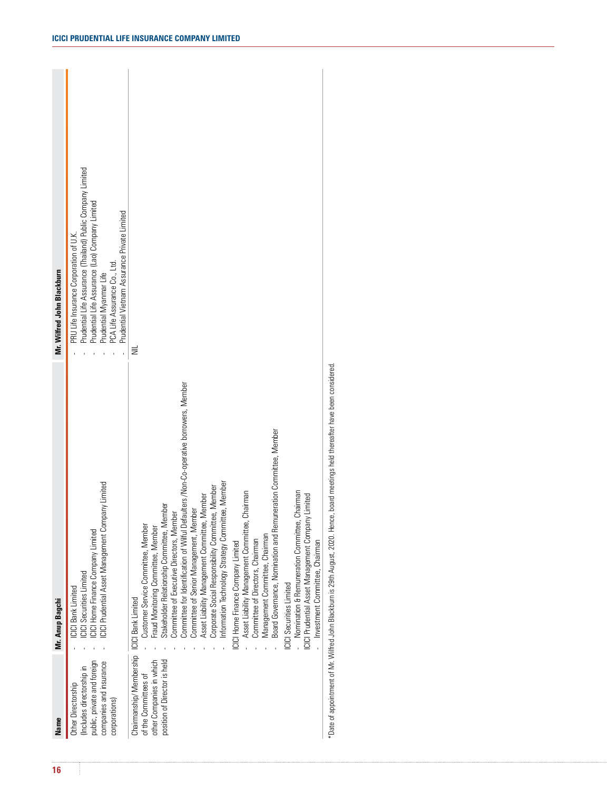| 16 |                                                                                                                                           |                                                                                                                                                                                                                                                                                                                                                                                                                                         | Mr. Wilfred John Blackburn                                                                                                                                                                                                                        |
|----|-------------------------------------------------------------------------------------------------------------------------------------------|-----------------------------------------------------------------------------------------------------------------------------------------------------------------------------------------------------------------------------------------------------------------------------------------------------------------------------------------------------------------------------------------------------------------------------------------|---------------------------------------------------------------------------------------------------------------------------------------------------------------------------------------------------------------------------------------------------|
|    | <b>Name</b><br>Other Directorship<br>(Includes directorship in<br>public, private and foreign<br>companies and insurance<br>corporations) | mpany Limited<br><b>Mr. Amp Bagchi</b><br>- ICICI Bank Limited<br>- ICICI Securities Limited<br>- ICICI Home Finance Company Limited<br>- ICICI Prudential Asset Management Comp                                                                                                                                                                                                                                                        | - PRU Life Insurance Corporation of U.K.<br>- Prudential Life Assurance (Thailand) Public Company Limited<br>- Prudential Myanmar Life<br>- PCA Life Assurance Co., Ltd.<br>- Prudential Vietnam Assurance Private Limited<br>and a strategic and |
|    |                                                                                                                                           | mmittee, Member<br><b>Pration Con</b><br>ICICI Securities Limited<br>- Nomination & Remuneration Committee, Chairman<br>ICICI Prudential Asset Management Company Limited<br>- Investment Committee, Chairman<br>CCCI Home Finance Company Limited<br>- Asset Liability Management Committee, Chairman<br>- Committee of Directors, Chairman<br>- Management Committee, Chairman<br>- Board Governance, Nomination and Remuneration Cor | $\equiv$                                                                                                                                                                                                                                          |
|    |                                                                                                                                           | ce, board meetings held thereafter have been considered.<br>*Date of appointment of Mr. Wilfred John Blackburn is 29th August, 2020. Her                                                                                                                                                                                                                                                                                                |                                                                                                                                                                                                                                                   |
|    |                                                                                                                                           |                                                                                                                                                                                                                                                                                                                                                                                                                                         |                                                                                                                                                                                                                                                   |
|    |                                                                                                                                           |                                                                                                                                                                                                                                                                                                                                                                                                                                         |                                                                                                                                                                                                                                                   |